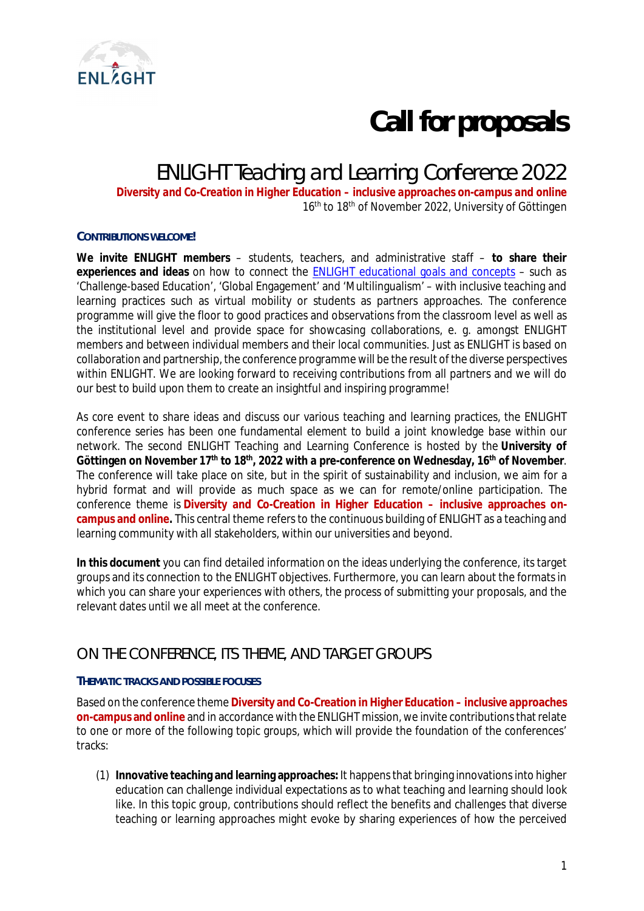

# **Call for proposals**

# ENLIGHT Teaching and Learning Conference 2022

*Diversity and Co-Creation in Higher Education – inclusive approaches on-campus and online* 16<sup>th</sup> to 18<sup>th</sup> of November 2022, University of Göttingen

#### **CONTRIBUTIONS WELCOME!**

**We invite ENLIGHT members** – students, teachers, and administrative staff – **to share their experiences and ideas** on how to connect the [ENLIGHT educational goals and concepts](https://enlight-eu.org/index.php/university-about-us/our-mission) – such as 'Challenge-based Education', 'Global Engagement' and 'Multilingualism' – with inclusive teaching and learning practices such as virtual mobility or students as partners approaches. The conference programme will give the floor to good practices and observations from the classroom level as well as the institutional level and provide space for showcasing collaborations, e. g. amongst ENLIGHT members and between individual members and their local communities. Just as ENLIGHT is based on collaboration and partnership, the conference programme will be the result of the diverse perspectives within ENLIGHT. We are looking forward to receiving contributions from all partners and we will do our best to build upon them to create an insightful and inspiring programme!

As core event to share ideas and discuss our various teaching and learning practices, the ENLIGHT conference series has been one fundamental element to build a joint knowledge base within our network. The second ENLIGHT Teaching and Learning Conference is hosted by the **University of Göttingen on November 17th to 18th, 2022 with a pre-conference on Wednesday, 16th of November**. The conference will take place on site, but in the spirit of sustainability and inclusion, we aim for a hybrid format and will provide as much space as we can for remote/online participation. The conference theme is **Diversity and Co-Creation in Higher Education – inclusive approaches oncampus and online.** This central theme refers to the continuous building of ENLIGHT as a teaching and learning community with all stakeholders, within our universities and beyond.

**In this document** you can find detailed information on the ideas underlying the conference, its target groups and its connection to the ENLIGHT objectives. Furthermore, you can learn about the formats in which you can share your experiences with others, the process of submitting your proposals, and the relevant dates until we all meet at the conference.

## ON THE CONFERENCE, ITS THEME, AND TARGET GROUPS

#### **THEMATIC TRACKS AND POSSIBLE FOCUSES**

Based on the conference theme **Diversity and Co-Creation in Higher Education – inclusive approaches on-campus and online** and in accordance with the ENLIGHT mission, we invite contributions that relate to one or more of the following topic groups, which will provide the foundation of the conferences' tracks:

(1) **Innovative teaching and learning approaches:** It happens that bringing innovations into higher education can challenge individual expectations as to what teaching and learning should look like. In this topic group, contributions should reflect the benefits and challenges that diverse teaching or learning approaches might evoke by sharing experiences of how the perceived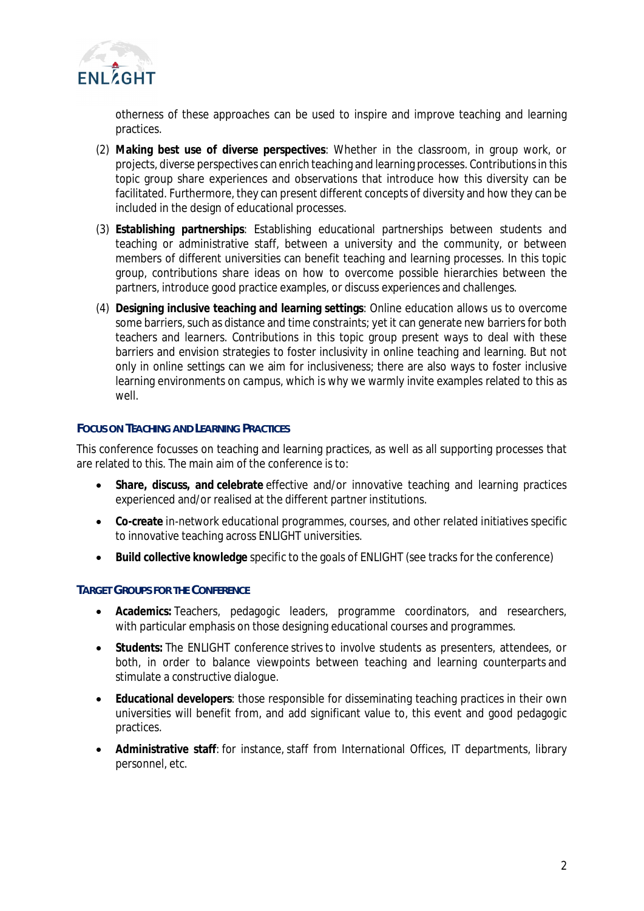

otherness of these approaches can be used to inspire and improve teaching and learning practices.

- (2) **Making best use of diverse perspectives**: Whether in the classroom, in group work, or projects, diverse perspectives can enrich teaching and learning processes. Contributions in this topic group share experiences and observations that introduce how this diversity can be facilitated. Furthermore, they can present different concepts of diversity and how they can be included in the design of educational processes.
- (3) **Establishing partnerships**: Establishing educational partnerships between students and teaching or administrative staff, between a university and the community, or between members of different universities can benefit teaching and learning processes. In this topic group, contributions share ideas on how to overcome possible hierarchies between the partners, introduce good practice examples, or discuss experiences and challenges.
- (4) **Designing inclusive teaching and learning settings**: Online education allows us to overcome some barriers, such as distance and time constraints; yet it can generate new barriers for both teachers and learners. Contributions in this topic group present ways to deal with these barriers and envision strategies to foster inclusivity in online teaching and learning. But not only in online settings can we aim for inclusiveness; there are also ways to foster inclusive learning environments *on campus*, which is why we warmly invite examples related to this as well.

#### **FOCUS ON TEACHING AND LEARNING PRACTICES**

This conference focusses on teaching and learning practices, as well as all supporting processes that are related to this. The main aim of the conference is to:

- **Share, discuss, and celebrate** effective and/or innovative teaching and learning practices experienced and/or realised at the different partner institutions.
- **Co-create** in-network educational programmes, courses, and other related initiatives specific to innovative teaching across ENLIGHT universities.
- **Build collective knowledge** specific to the goals of ENLIGHT (see tracks for the conference)

#### **TARGET GROUPS FOR THE CONFERENCE**

- **Academics:** Teachers, pedagogic leaders, programme coordinators, and researchers, with particular emphasis on those designing educational courses and programmes.
- **Students:** The ENLIGHT conference strives to involve students as presenters, attendees, or both, in order to balance viewpoints between teaching and learning counterparts and stimulate a constructive dialogue.
- **Educational developers**: those responsible for disseminating teaching practices in their own universities will benefit from, and add significant value to, this event and good pedagogic practices.
- **Administrative staff**: for instance, staff from International Offices, IT departments, library personnel, etc.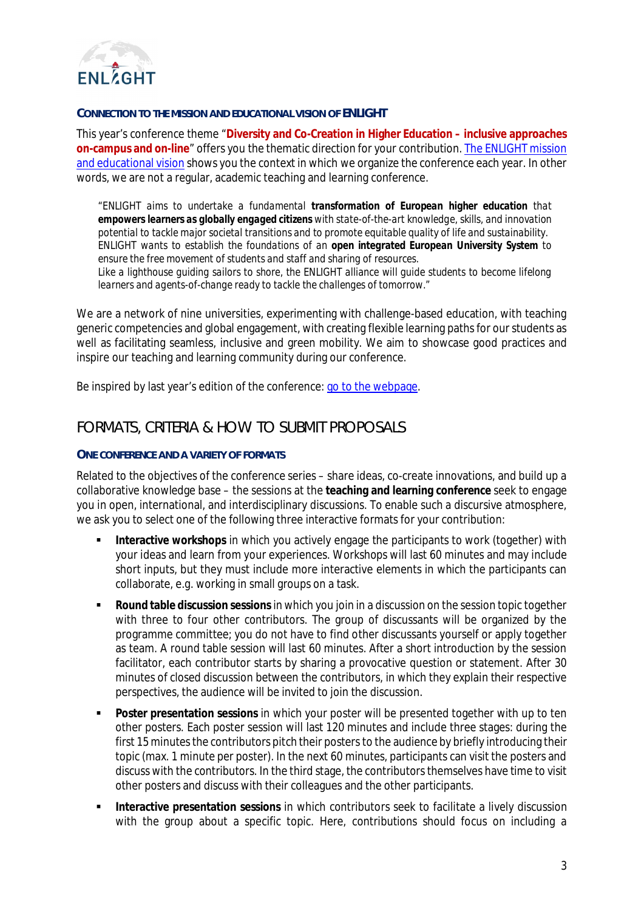

#### **CONNECTION TO THE MISSION AND EDUCATIONAL VISION OF ENLIGHT**

This year's conference theme "**Diversity and Co-Creation in Higher Education – inclusive approaches on-campus and on-line**" offers you the thematic direction for your contribution. [The ENLIGHT mission](https://enlight-eu.org/index.php/university-about-us/about-enlight) [and educational vision](https://enlight-eu.org/index.php/university-about-us/about-enlight) shows you the context in which we organize the conference each year. In other words, we are not a regular, academic teaching and learning conference.

*"ENLIGHT aims to undertake a fundamental transformation of European higher education that empowers learners as globally engaged citizens with state-of-the-art knowledge, skills, and innovation potential to tackle major societal transitions and to promote equitable quality of life and sustainability. ENLIGHT wants to establish the foundations of an open integrated European University System to ensure the free movement of students and staff and sharing of resources. Like a lighthouse guiding sailors to shore, the ENLIGHT alliance will guide students to become lifelong learners and agents-of-change ready to tackle the challenges of tomorrow."*

We are a network of nine universities, experimenting with challenge-based education, with teaching generic competencies and global engagement, with creating flexible learning paths for our students as well as facilitating seamless, inclusive and green mobility. We aim to showcase good practices and inspire our teaching and learning community during our conference.

Be inspired by last year's edition of the conference: [go to the webpage](https://enlight-eu.org/index.php/for-educators/teaching-and-learning-conference/493-review-enlight-teaching-and-learning-conference-2021#revisit).

# FORMATS, CRITERIA & HOW TO SUBMIT PROPOSALS

#### **ONE CONFERENCE AND A VARIETY OF FORMATS**

Related to the objectives of the conference series – share ideas, co-create innovations, and build up a collaborative knowledge base – the sessions at the **teaching and learning conference** seek to engage you in open, international, and interdisciplinary discussions. To enable such a discursive atmosphere, we ask you to select one of the following three interactive formats for your contribution:

- **Interactive workshops** in which you actively engage the participants to work (together) with your ideas and learn from your experiences. Workshops will last 60 minutes and may include short inputs, but they must include more interactive elements in which the participants can collaborate, e.g. working in small groups on a task.
- **Round table discussion sessions**in which you join in a discussion on the session topic together with three to four other contributors. The group of discussants will be organized by the programme committee; you do not have to find other discussants yourself or apply together as team. A round table session will last 60 minutes. After a short introduction by the session facilitator, each contributor starts by sharing a provocative question or statement. After 30 minutes of closed discussion between the contributors, in which they explain their respective perspectives, the audience will be invited to join the discussion.
- **Poster presentation sessions** in which your poster will be presented together with up to ten other posters. Each poster session will last 120 minutes and include three stages: during the first 15 minutes the contributors pitch their posters to the audience by briefly introducing their topic (max. 1 minute per poster). In the next 60 minutes, participants can visit the posters and discuss with the contributors. In the third stage, the contributors themselves have time to visit other posters and discuss with their colleagues and the other participants.
- **Interactive presentation sessions** in which contributors seek to facilitate a lively discussion with the group about a specific topic. Here, contributions should focus on including a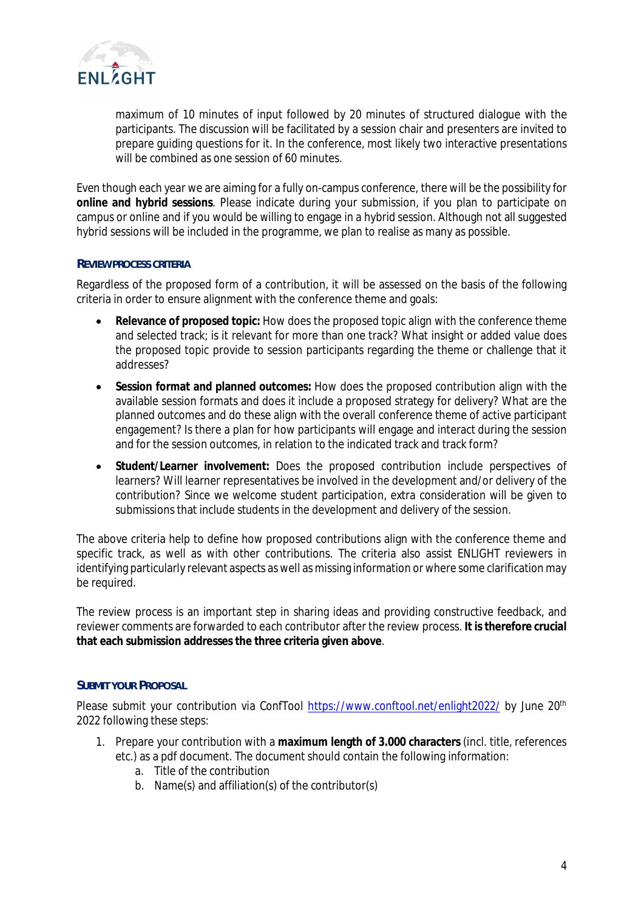

maximum of 10 minutes of input followed by 20 minutes of structured dialogue with the participants. The discussion will be facilitated by a session chair and presenters are invited to prepare guiding questions for it. In the conference, most likely two interactive presentations will be combined as one session of 60 minutes.

Even though each year we are aiming for a fully on-campus conference, there will be the possibility for **online and hybrid sessions**. Please indicate during your submission, if you plan to participate on campus or online and if you would be willing to engage in a hybrid session. Although not all suggested hybrid sessions will be included in the programme, we plan to realise as many as possible.

#### **REVIEW PROCESS CRITERIA**

Regardless of the proposed form of a contribution, it will be assessed on the basis of the following criteria in order to ensure alignment with the conference theme and goals:

- **Relevance of proposed topic:** How does the proposed topic align with the conference theme and selected track; is it relevant for more than one track? What insight or added value does the proposed topic provide to session participants regarding the theme or challenge that it addresses?
- **Session format and planned outcomes:** How does the proposed contribution align with the available session formats and does it include a proposed strategy for delivery? What are the planned outcomes and do these align with the overall conference theme of active participant engagement? Is there a plan for how participants will engage and interact during the session and for the session outcomes, in relation to the indicated track and track form?
- **Student/Learner involvement:** Does the proposed contribution include perspectives of learners? Will learner representatives be involved in the development and/or delivery of the contribution? Since we welcome student participation, extra consideration will be given to submissions that include students in the development and delivery of the session.

The above criteria help to define how proposed contributions align with the conference theme and specific track, as well as with other contributions. The criteria also assist ENLIGHT reviewers in identifying particularly relevant aspects as well as missing information or where some clarification may be required.

The review process is an important step in sharing ideas and providing constructive feedback, and reviewer comments are forwarded to each contributor after the review process. **It is therefore crucial that each submission addresses the three criteria given above**.

#### **SUBMIT YOUR PROPOSAL**

Please submit your contribution via ConfTool <https://www.conftool.net/enlight2022/>by June 20<sup>th</sup> 2022 following these steps:

- 1. Prepare your contribution with a **maximum length of 3.000 characters** (incl. title, references etc.) as a pdf document. The document should contain the following information:
	- a. Title of the contribution
	- b. Name(s) and affiliation(s) of the contributor(s)